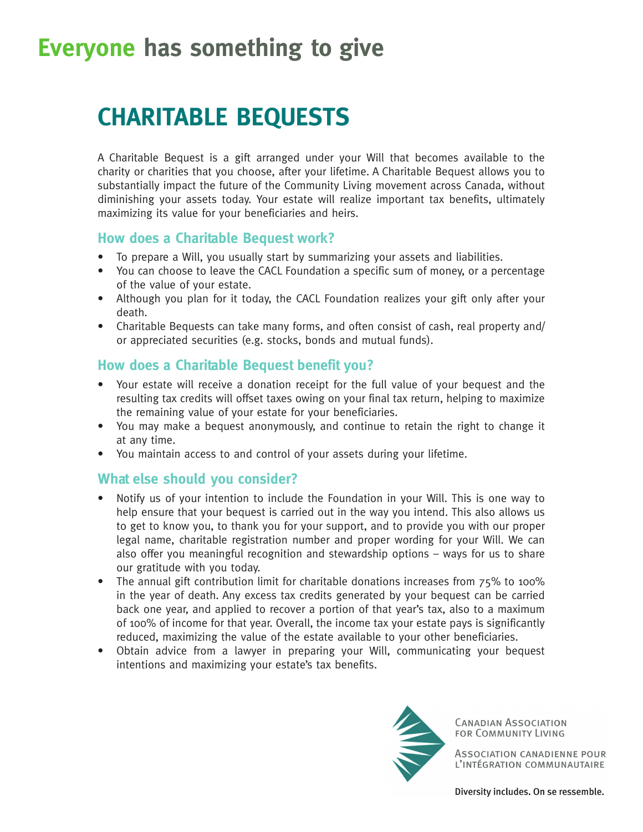## **Everyone has something to give**

## **CHARITABLE BEQUESTS**

A Charitable Bequest is a gift arranged under your Will that becomes available to the charity or charities that you choose, after your lifetime. A Charitable Bequest allows you to substantially impact the future of the Community Living movement across Canada, without diminishing your assets today. Your estate will realize important tax benefits, ultimately maximizing its value for your beneficiaries and heirs.

#### **How does a Charitable Bequest work?**

- To prepare a Will, you usually start by summarizing your assets and liabilities.
- You can choose to leave the CACL Foundation a specific sum of money, or a percentage of the value of your estate.
- Although you plan for it today, the CACL Foundation realizes your gift only after your death.
- Charitable Bequests can take many forms, and often consist of cash, real property and/ or appreciated securities (e.g. stocks, bonds and mutual funds).

### **How does a Charitable Bequest benefit you?**

- Your estate will receive a donation receipt for the full value of your bequest and the resulting tax credits will offset taxes owing on your final tax return, helping to maximize the remaining value of your estate for your beneficiaries.
- You may make a bequest anonymously, and continue to retain the right to change it at any time.
- You maintain access to and control of your assets during your lifetime.

#### **What else should you consider?**

- Notify us of your intention to include the Foundation in your Will. This is one way to help ensure that your bequest is carried out in the way you intend. This also allows us to get to know you, to thank you for your support, and to provide you with our proper legal name, charitable registration number and proper wording for your Will. We can also offer you meaningful recognition and stewardship options – ways for us to share our gratitude with you today.
- The annual gift contribution limit for charitable donations increases from  $75\%$  to 100% in the year of death. Any excess tax credits generated by your bequest can be carried back one year, and applied to recover a portion of that year's tax, also to a maximum of 100% of income for that year. Overall, the income tax your estate pays is significantly reduced, maximizing the value of the estate available to your other beneficiaries.
- Obtain advice from a lawyer in preparing your Will, communicating your bequest intentions and maximizing your estate's tax benefits.



**CANADIAN ASSOCIATION** FOR COMMUNITY LIVING

ASSOCIATION CANADIENNE POUR L'INTÉGRATION COMMUNAUTAIRE